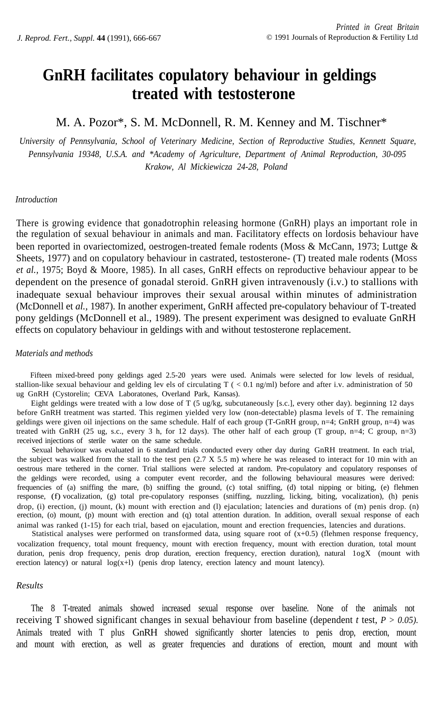# **GnRH facilitates copulatory behaviour in geldings treated with testosterone**

# M. A. Pozor\*, S. M. McDonnell, R. M. Kenney and M. Tischner\*

*University of Pennsylvania, School of Veterinary Medicine, Section of Reproductive Studies, Kennett Square, Pennsylvania 19348, U.S.A. and \*Academy of Agriculture, Department of Animal Reproduction, 30-095 Krakow, Al Mickiewicza 24-28, Poland*

## *Introduction*

There is growing evidence that gonadotrophin releasing hormone (GnRH) plays an important role in the regulation of sexual behaviour in animals and man. Facilitatory effects on lordosis behaviour have been reported in ovariectomized, oestrogen-treated female rodents (Moss & McCann, 1973; Luttge & Sheets, 1977) and on copulatory behaviour in castrated, testosterone- (T) treated male rodents (MOSS *et al.,* 1975; Boyd & Moore, 1985). In all cases, GnRH effects on reproductive behaviour appear to be dependent on the presence of gonadal steroid. GnRH given intravenously (i.v.) to stallions with inadequate sexual behaviour improves their sexual arousal within minutes of administration (McDonnell et *al.,* 1987). In another experiment, GnRH affected pre-copulatory behaviour of T-treated pony geldings (McDonnell et al., 1989). The present experiment was designed to evaluate GnRH effects on copulatory behaviour in geldings with and without testosterone replacement.

#### *Materials and methods*

Fifteen mixed-breed pony geldings aged 2.5-20 years were used. Animals were selected for low levels of residual, stallion-like sexual behaviour and gelding lev els of circulating T ( < 0.1 ng/ml) before and after i.v. administration of 50 ug GnRH (Cystorelin; CEVA Laboratones, Overland Park, Kansas).

Eight geldings were treated with a low dose of T (5 ug/kg, subcutaneously [s.c.], every other day). beginning 12 days before GnRH treatment was started. This regimen yielded very low (non-detectable) plasma levels of T. The remaining geldings were given oil injections on the same schedule. Half of each group (T-GnRH group, n=4; GnRH group, n=4) was treated with GnRH (25 ug, s.c., every 3 h, for 12 days). The other half of each group (T group, n=4; C group, n=3) received injections of sterile water on the same schedule.

Sexual behaviour was evaluated in 6 standard trials conducted every other day during GnRH treatment. In each trial, the subject was walked from the stall to the test pen  $(2.7 \text{ X } 5.5 \text{ m})$  where he was released to interact for 10 min with an oestrous mare tethered in the corner. Trial stallions were selected at random. Pre-copulatory and copulatory responses of the geldings were recorded, using a computer event recorder, and the following behavioural measures were derived: frequencies of (a) sniffing the mare, (b) sniffing the ground, (c) total sniffing, (d) total nipping or biting, (e) flehmen response, (f) vocalization, (g) total pre-copulatory responses (sniffing, nuzzling, licking, biting, vocalization), (h) penis drop, (i) erection, (j) mount, (k) mount with erection and (l) ejaculation; latencies and durations of (m) penis drop. (n) erection, (o) mount, (p) mount with erection and (q) total attention duration. In addition, overall sexual response of each animal was ranked (1-15) for each trial, based on ejaculation, mount and erection frequencies, latencies and durations.

Statistical analyses were performed on transformed data, using square root of (x+0.5) (flehmen response frequency, vocalization frequency, total mount frequency, mount with erection frequency, mount with erection duration, total mount duration, penis drop frequency, penis drop duration, erection frequency, erection duration), natural  $1$ ogX (mount with erection latency) or natural  $log(x+1)$  (penis drop latency, erection latency and mount latency).

#### *Results*

The 8 T-treated animals showed increased sexual response over baseline. None of the animals not receiving T showed significant changes in sexual behaviour from baseline (dependent *t* test, *P > 0.05).* Animals treated with T plus GnRH showed significantly shorter latencies to penis drop, erection, mount and mount with erection, as well as greater frequencies and durations of erection, mount and mount with